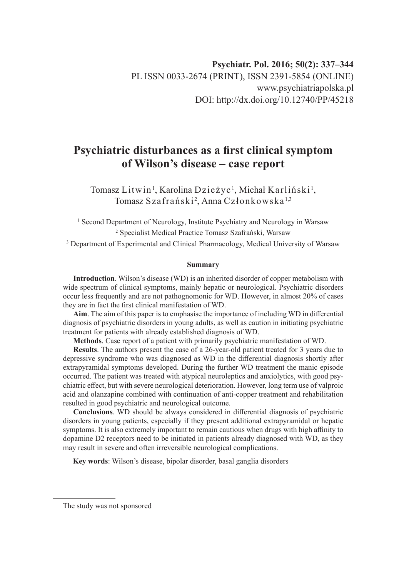# **Psychiatric disturbances as a first clinical symptom of Wilson's disease – case report**

Tomasz Litwin<sup>1</sup>, Karolina Dzieżyc<sup>1</sup>, Michał Karliński<sup>1</sup>, Tomasz Szafrański<sup>2</sup>, Anna Członkowska<sup>1,3</sup>

<sup>1</sup> Second Department of Neurology, Institute Psychiatry and Neurology in Warsaw 2 Specialist Medical Practice Tomasz Szafrański, Warsaw <sup>3</sup> Department of Experimental and Clinical Pharmacology, Medical University of Warsaw

#### **Summary**

**Introduction**. Wilson's disease (WD) is an inherited disorder of copper metabolism with wide spectrum of clinical symptoms, mainly hepatic or neurological. Psychiatric disorders occur less frequently and are not pathognomonic for WD. However, in almost 20% of cases they are in fact the first clinical manifestation of WD.

**Aim**. The aim of this paper is to emphasise the importance of including WD in differential diagnosis of psychiatric disorders in young adults, as well as caution in initiating psychiatric treatment for patients with already established diagnosis of WD.

**Methods**. Case report of a patient with primarily psychiatric manifestation of WD.

**Results**. The authors present the case of a 26-year-old patient treated for 3 years due to depressive syndrome who was diagnosed as WD in the differential diagnosis shortly after extrapyramidal symptoms developed. During the further WD treatment the manic episode occurred. The patient was treated with atypical neuroleptics and anxiolytics, with good psychiatric effect, but with severe neurological deterioration. However, long term use of valproic acid and olanzapine combined with continuation of anti-copper treatment and rehabilitation resulted in good psychiatric and neurological outcome.

**Conclusions**. WD should be always considered in differential diagnosis of psychiatric disorders in young patients, especially if they present additional extrapyramidal or hepatic symptoms. It is also extremely important to remain cautious when drugs with high affinity to dopamine D2 receptors need to be initiated in patients already diagnosed with WD, as they may result in severe and often irreversible neurological complications.

**Key words**: Wilson's disease, bipolar disorder, basal ganglia disorders

The study was not sponsored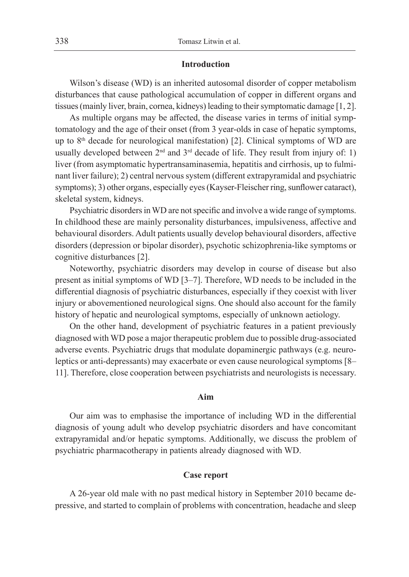#### **Introduction**

Wilson's disease (WD) is an inherited autosomal disorder of copper metabolism disturbances that cause pathological accumulation of copper in different organs and tissues (mainly liver, brain, cornea, kidneys) leading to their symptomatic damage [1, 2].

As multiple organs may be affected, the disease varies in terms of initial symptomatology and the age of their onset (from 3 year-olds in case of hepatic symptoms, up to  $8<sup>th</sup>$  decade for neurological manifestation) [2]. Clinical symptoms of WD are usually developed between  $2<sup>nd</sup>$  and  $3<sup>rd</sup>$  decade of life. They result from injury of: 1) liver (from asymptomatic hypertransaminasemia, hepatitis and cirrhosis, up to fulminant liver failure); 2) central nervous system (different extrapyramidal and psychiatric symptoms); 3) other organs, especially eyes (Kayser-Fleischer ring, sunflower cataract), skeletal system, kidneys.

Psychiatric disorders in WD are not specific and involve a wide range of symptoms. In childhood these are mainly personality disturbances, impulsiveness, affective and behavioural disorders. Adult patients usually develop behavioural disorders, affective disorders (depression or bipolar disorder), psychotic schizophrenia-like symptoms or cognitive disturbances [2].

Noteworthy, psychiatric disorders may develop in course of disease but also present as initial symptoms of WD [3–7]. Therefore, WD needs to be included in the differential diagnosis of psychiatric disturbances, especially if they coexist with liver injury or abovementioned neurological signs. One should also account for the family history of hepatic and neurological symptoms, especially of unknown aetiology.

On the other hand, development of psychiatric features in a patient previously diagnosed with WD pose a major therapeutic problem due to possible drug-associated adverse events. Psychiatric drugs that modulate dopaminergic pathways (e.g. neuroleptics or anti-depressants) may exacerbate or even cause neurological symptoms [8– 11]. Therefore, close cooperation between psychiatrists and neurologists is necessary.

# **Aim**

Our aim was to emphasise the importance of including WD in the differential diagnosis of young adult who develop psychiatric disorders and have concomitant extrapyramidal and/or hepatic symptoms. Additionally, we discuss the problem of psychiatric pharmacotherapy in patients already diagnosed with WD.

#### **Case report**

A 26-year old male with no past medical history in September 2010 became depressive, and started to complain of problems with concentration, headache and sleep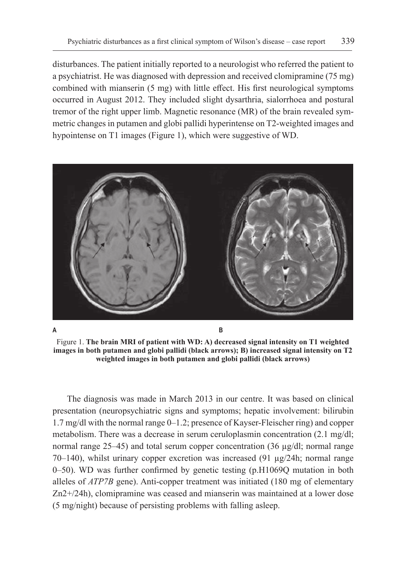disturbances. The patient initially reported to a neurologist who referred the patient to a psychiatrist. He was diagnosed with depression and received clomipramine (75 mg) combined with mianserin (5 mg) with little effect. His first neurological symptoms occurred in August 2012. They included slight dysarthria, sialorrhoea and postural tremor of the right upper limb. Magnetic resonance (MR) of the brain revealed symmetric changes in putamen and globi pallidi hyperintense on T2-weighted images and hypointense on T1 images (Figure 1), which were suggestive of WD.



**A B**

Figure 1. **The brain MRI of patient with WD: A) decreased signal intensity on T1 weighted images in both putamen and globi pallidi (black arrows); B) increased signal intensity on T2 weighted images in both putamen and globi pallidi (black arrows)**

The diagnosis was made in March 2013 in our centre. It was based on clinical presentation (neuropsychiatric signs and symptoms; hepatic involvement: bilirubin 1.7 mg/dl with the normal range 0–1.2; presence of Kayser-Fleischer ring) and copper metabolism. There was a decrease in serum ceruloplasmin concentration (2.1 mg/dl; normal range 25–45) and total serum copper concentration (36  $\mu$ g/dl; normal range  $70-140$ ), whilst urinary copper excretion was increased (91  $\mu$ g/24h; normal range 0–50). WD was further confirmed by genetic testing (p.H1069Q mutation in both alleles of *ATP7B* gene). Anti-copper treatment was initiated (180 mg of elementary Zn2+/24h), clomipramine was ceased and mianserin was maintained at a lower dose (5 mg/night) because of persisting problems with falling asleep.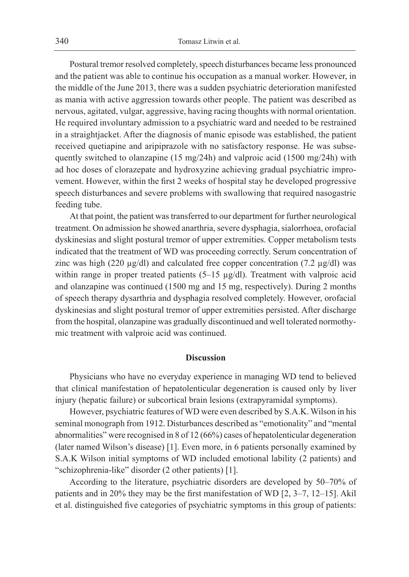Postural tremor resolved completely, speech disturbances became less pronounced and the patient was able to continue his occupation as a manual worker. However, in the middle of the June 2013, there was a sudden psychiatric deterioration manifested as mania with active aggression towards other people. The patient was described as nervous, agitated, vulgar, aggressive, having racing thoughts with normal orientation. He required involuntary admission to a psychiatric ward and needed to be restrained in a straightjacket. After the diagnosis of manic episode was established, the patient received quetiapine and aripiprazole with no satisfactory response. He was subsequently switched to olanzapine (15 mg/24h) and valproic acid (1500 mg/24h) with ad hoc doses of clorazepate and hydroxyzine achieving gradual psychiatric improvement. However, within the first 2 weeks of hospital stay he developed progressive speech disturbances and severe problems with swallowing that required nasogastric feeding tube.

At that point, the patient was transferred to our department for further neurological treatment. On admission he showed anarthria, severe dysphagia, sialorrhoea, orofacial dyskinesias and slight postural tremor of upper extremities. Copper metabolism tests indicated that the treatment of WD was proceeding correctly. Serum concentration of zinc was high (220  $\mu$ g/dl) and calculated free copper concentration (7.2  $\mu$ g/dl) was within range in proper treated patients (5-15 µg/dl). Treatment with valproic acid and olanzapine was continued (1500 mg and 15 mg, respectively). During 2 months of speech therapy dysarthria and dysphagia resolved completely. However, orofacial dyskinesias and slight postural tremor of upper extremities persisted. After discharge from the hospital, olanzapine was gradually discontinued and well tolerated normothymic treatment with valproic acid was continued.

# **Discussion**

Physicians who have no everyday experience in managing WD tend to believed that clinical manifestation of hepatolenticular degeneration is caused only by liver injury (hepatic failure) or subcortical brain lesions (extrapyramidal symptoms).

However, psychiatric features of WD were even described by S.A.K. Wilson in his seminal monograph from 1912. Disturbances described as "emotionality" and "mental abnormalities" were recognised in 8 of 12 (66%) cases of hepatolenticular degeneration (later named Wilson's disease) [1]. Even more, in 6 patients personally examined by S.A.K Wilson initial symptoms of WD included emotional lability (2 patients) and "schizophrenia-like" disorder (2 other patients) [1].

According to the literature, psychiatric disorders are developed by 50–70% of patients and in 20% they may be the first manifestation of WD [2, 3–7, 12–15]. Akil et al. distinguished five categories of psychiatric symptoms in this group of patients: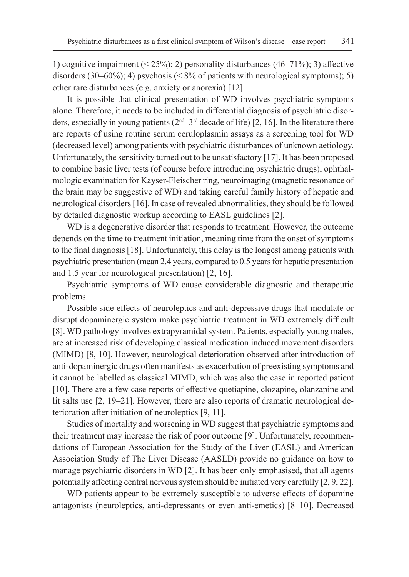1) cognitive impairment (< 25%); 2) personality disturbances (46–71%); 3) affective disorders  $(30-60\%)$ ; 4) psychosis (< 8% of patients with neurological symptoms); 5) other rare disturbances (e.g. anxiety or anorexia) [12].

It is possible that clinical presentation of WD involves psychiatric symptoms alone. Therefore, it needs to be included in differential diagnosis of psychiatric disorders, especially in young patients  $(2<sup>nd</sup>-3<sup>rd</sup>$  decade of life) [2, 16]. In the literature there are reports of using routine serum ceruloplasmin assays as a screening tool for WD (decreased level) among patients with psychiatric disturbances of unknown aetiology. Unfortunately, the sensitivity turned out to be unsatisfactory [17]. It has been proposed to combine basic liver tests (of course before introducing psychiatric drugs), ophthalmologic examination for Kayser-Fleischer ring, neuroimaging (magnetic resonance of the brain may be suggestive of WD) and taking careful family history of hepatic and neurological disorders [16]. In case of revealed abnormalities, they should be followed by detailed diagnostic workup according to EASL guidelines [2].

WD is a degenerative disorder that responds to treatment. However, the outcome depends on the time to treatment initiation, meaning time from the onset of symptoms to the final diagnosis [18]. Unfortunately, this delay is the longest among patients with psychiatric presentation (mean 2.4 years, compared to 0.5 years for hepatic presentation and 1.5 year for neurological presentation) [2, 16].

Psychiatric symptoms of WD cause considerable diagnostic and therapeutic problems.

Possible side effects of neuroleptics and anti-depressive drugs that modulate or disrupt dopaminergic system make psychiatric treatment in WD extremely difficult [8]. WD pathology involves extrapyramidal system. Patients, especially young males, are at increased risk of developing classical medication induced movement disorders (MIMD) [8, 10]. However, neurological deterioration observed after introduction of anti-dopaminergic drugs often manifests as exacerbation of preexisting symptoms and it cannot be labelled as classical MIMD, which was also the case in reported patient [10]. There are a few case reports of effective quetiapine, clozapine, olanzapine and lit salts use [2, 19–21]. However, there are also reports of dramatic neurological deterioration after initiation of neuroleptics [9, 11].

Studies of mortality and worsening in WD suggest that psychiatric symptoms and their treatment may increase the risk of poor outcome [9]. Unfortunately, recommendations of European Association for the Study of the Liver (EASL) and American Association Study of The Liver Disease (AASLD) provide no guidance on how to manage psychiatric disorders in WD [2]. It has been only emphasised, that all agents potentially affecting central nervous system should be initiated very carefully [2, 9, 22].

WD patients appear to be extremely susceptible to adverse effects of dopamine antagonists (neuroleptics, anti-depressants or even anti-emetics) [8–10]. Decreased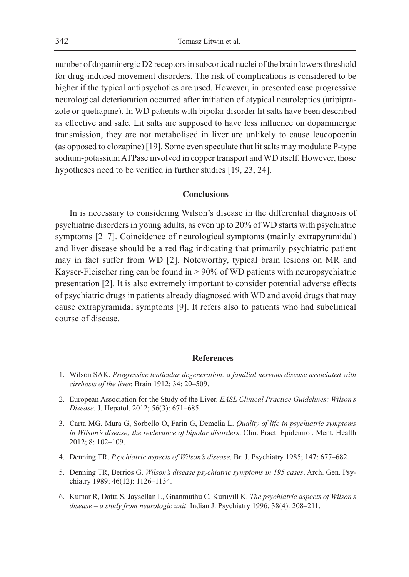number of dopaminergic D2 receptors in subcortical nuclei of the brain lowers threshold for drug-induced movement disorders. The risk of complications is considered to be higher if the typical antipsychotics are used. However, in presented case progressive neurological deterioration occurred after initiation of atypical neuroleptics (aripiprazole or quetiapine). In WD patients with bipolar disorder lit salts have been described as effective and safe. Lit salts are supposed to have less influence on dopaminergic transmission, they are not metabolised in liver are unlikely to cause leucopoenia (as opposed to clozapine) [19]. Some even speculate that lit salts may modulate P-type sodium-potassium ATPase involved in copper transport and WD itself. However, those hypotheses need to be verified in further studies [19, 23, 24].

# **Conclusions**

In is necessary to considering Wilson's disease in the differential diagnosis of psychiatric disorders in young adults, as even up to 20% of WD starts with psychiatric symptoms [2–7]. Coincidence of neurological symptoms (mainly extrapyramidal) and liver disease should be a red flag indicating that primarily psychiatric patient may in fact suffer from WD [2]. Noteworthy, typical brain lesions on MR and Kayser-Fleischer ring can be found in > 90% of WD patients with neuropsychiatric presentation [2]. It is also extremely important to consider potential adverse effects of psychiatric drugs in patients already diagnosed with WD and avoid drugs that may cause extrapyramidal symptoms [9]. It refers also to patients who had subclinical course of disease.

### **References**

- 1. Wilson SAK. *Progressive lenticular degeneration: a familial nervous disease associated with cirrhosis of the liver.* Brain 1912; 34: 20–509.
- 2. European Association for the Study of the Liver. *EASL Clinical Practice Guidelines: Wilson's Disease*. J. Hepatol. 2012; 56(3): 671–685.
- 3. Carta MG, Mura G, Sorbello O, Farin G, Demelia L. *Quality of life in psychiatric symptoms in Wilson's disease; the revlevance of bipolar disorders*. Clin. Pract. Epidemiol. Ment. Health 2012; 8: 102–109.
- 4. Denning TR. *Psychiatric aspects of Wilson's disease*. Br. J. Psychiatry 1985; 147: 677–682.
- 5. Denning TR, Berrios G. *Wilson's disease psychiatric symptoms in 195 cases*. Arch. Gen. Psychiatry 1989; 46(12): 1126–1134.
- 6. Kumar R, Datta S, Jaysellan L, Gnanmuthu C, Kuruvill K. *The psychiatric aspects of Wilson's disease – a study from neurologic unit*. Indian J. Psychiatry 1996; 38(4): 208–211.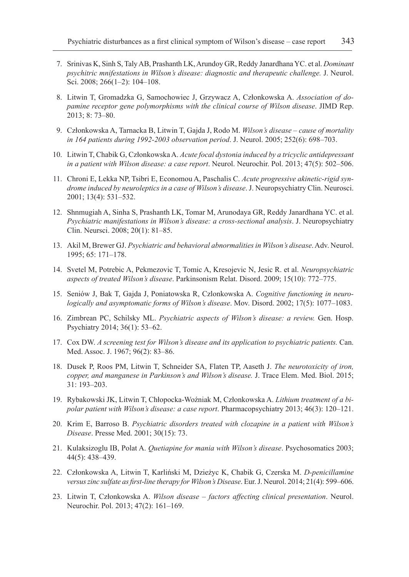- 7. Srinivas K, Sinh S, Taly AB, Prashanth LK, Arundoy GR, Reddy Janardhana YC. et al. *Dominant psychitric mnifestations in Wilson's disease: diagnostic and therapeutic challenge.* J. Neurol. Sci. 2008; 266(1–2): 104–108.
- 8. Litwin T, Gromadzka G, Samochowiec J, Grzywacz A, Członkowska A. *Association of dopamine receptor gene polymorphisms with the clinical course of Wilson disease*. JIMD Rep. 2013; 8: 73–80.
- 9. Członkowska A, Tarnacka B, Litwin T, Gajda J, Rodo M. *Wilson's disease cause of mortality in 164 patients during 1992-2003 observation period*. J. Neurol. 2005; 252(6): 698–703.
- 10. Litwin T, Chabik G, Członkowska A. *Acute focal dystonia induced by a tricyclic antidepressant in a patient with Wilson disease: a case report*. Neurol. Neurochir. Pol. 2013; 47(5): 502–506.
- 11. Chroni E, Lekka NP, Tsibri E, Economou A, Paschalis C. *Acute progressive akinetic-rigid syndrome induced by neuroleptics in a case of Wilson's disease*. J. Neuropsychiatry Clin. Neurosci. 2001; 13(4): 531–532.
- 12. Shnmugiah A, Sinha S, Prashanth LK, Tomar M, Arunodaya GR, Reddy Janardhana YC. et al. *Psychiatric manifestations in Wilson's disease: a cross-sectional analysis*. J. Neuropsychiatry Clin. Neursci. 2008; 20(1): 81–85.
- 13. Akil M, Brewer GJ. *Psychiatric and behavioral abnormalities in Wilson's disease*. Adv. Neurol. 1995; 65: 171–178.
- 14. Svetel M, Potrebic A, Pekmezovic T, Tomic A, Kresojevic N, Jesic R. et al. *Neuropsychiatric aspects of treated Wilson's disease*. Parkinsonism Relat. Disord. 2009; 15(10): 772–775.
- 15. Seniów J, Bak T, Gajda J, Poniatowska R, Czlonkowska A. *Cognitive functioning in neurologically and asymptomatic forms of Wilson's disease*. Mov. Disord. 2002; 17(5): 1077–1083.
- 16. Zimbrean PC, Schilsky ML. *Psychiatric aspects of Wilson's disease: a review.* Gen. Hosp. Psychiatry 2014; 36(1): 53–62.
- 17. Cox DW. *A screening test for Wilson's disease and its application to psychiatric patients.* Can. Med. Assoc. J. 1967; 96(2): 83–86.
- 18. Dusek P, Roos PM, Litwin T, Schneider SA, Flaten TP, Aaseth J. *The neurotoxicity of iron, copper, and manganese in Parkinson's and Wilson's disease.* J. Trace Elem. Med. Biol. 2015; 31: 193–203.
- 19. Rybakowski JK, Litwin T, Chłopocka-Woźniak M, Członkowska A. *Lithium treatment of a bipolar patient with Wilson's disease: a case report*. Pharmacopsychiatry 2013; 46(3): 120–121.
- 20. Krim E, Barroso B. *Psychiatric disorders treated with clozapine in a patient with Wilson's Disease*. Presse Med. 2001; 30(15): 73.
- 21. Kulaksizoglu IB, Polat A. *Quetiapine for mania with Wilson's disease*. Psychosomatics 2003; 44(5): 438–439.
- 22. Członkowska A, Litwin T, Karliński M, Dzieżyc K, Chabik G, Czerska M. *D-penicillamine versus zinc sulfate as first-line therapy for Wilson's Disease*. Eur. J. Neurol. 2014; 21(4): 599–606.
- 23. Litwin T, Członkowska A. *Wilson disease factors affecting clinical presentation*. Neurol. Neurochir. Pol. 2013; 47(2): 161–169.